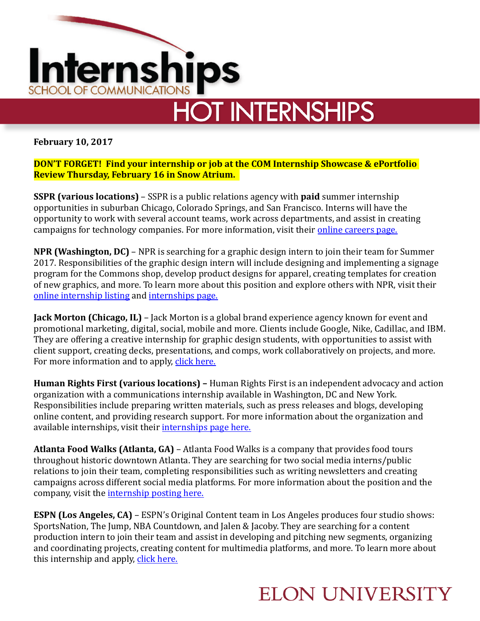

## **HOT INTERNSHIPS**

**February 10, 2017** 

**DON'T FORGET! Find your internship or job at the COM Internship Showcase & ePortfolio Review Thursday, February 16 in Snow Atrium.** 

**SSPR (various locations)** – SSPR is a public relations agency with **paid** summer internship opportunities in suburban Chicago, Colorado Springs, and San Francisco. Interns will have the opportunity to work with several account teams, work across departments, and assist in creating campaigns for technology companies. For more information, visit their online careers page.

**NPR (Washington, DC)** – NPR is searching for a graphic design intern to join their team for Summer 2017. Responsibilities of the graphic design intern will include designing and implementing a signage program for the Commons shop, develop product designs for apparel, creating templates for creation of new graphics, and more. To learn more about this position and explore others with NPR, visit their online internship listing and internships page.

**Jack Morton (Chicago, IL)** – Jack Morton is a global brand experience agency known for event and promotional marketing, digital, social, mobile and more. Clients include Google, Nike, Cadillac, and IBM. They are offering a creative internship for graphic design students, with opportunities to assist with client support, creating decks, presentations, and comps, work collaboratively on projects, and more. For more information and to apply, click here.

**Human Rights First (various locations)** – Human Rights First is an independent advocacy and action organization with a communications internship available in Washington, DC and New York. Responsibilities include preparing written materials, such as press releases and blogs, developing online content, and providing research support. For more information about the organization and available internships, visit their internships page here.

**Atlanta Food Walks (Atlanta, GA)** – Atlanta Food Walks is a company that provides food tours throughout historic downtown Atlanta. They are searching for two social media interns/public relations to join their team, completing responsibilities such as writing newsletters and creating campaigns across different social media platforms. For more information about the position and the company, visit the internship posting here.

**ESPN (Los Angeles, CA)** – ESPN's Original Content team in Los Angeles produces four studio shows: SportsNation, The Jump, NBA Countdown, and Jalen & Jacoby. They are searching for a content production intern to join their team and assist in developing and pitching new segments, organizing and coordinating projects, creating content for multimedia platforms, and more. To learn more about this internship and apply, click here.

## **ELON UNIVERSITY**